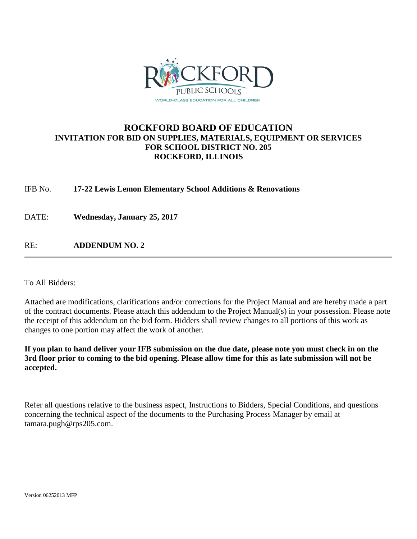

#### **ROCKFORD BOARD OF EDUCATION INVITATION FOR BID ON SUPPLIES, MATERIALS, EQUIPMENT OR SERVICES FOR SCHOOL DISTRICT NO. 205 ROCKFORD, ILLINOIS**

IFB No. **17-22 Lewis Lemon Elementary School Additions & Renovations**

DATE: **Wednesday, January 25, 2017**

RE: **ADDENDUM NO. 2**

To All Bidders:

Attached are modifications, clarifications and/or corrections for the Project Manual and are hereby made a part of the contract documents. Please attach this addendum to the Project Manual(s) in your possession. Please note the receipt of this addendum on the bid form. Bidders shall review changes to all portions of this work as changes to one portion may affect the work of another.

**If you plan to hand deliver your IFB submission on the due date, please note you must check in on the 3rd floor prior to coming to the bid opening. Please allow time for this as late submission will not be accepted.**

Refer all questions relative to the business aspect, Instructions to Bidders, Special Conditions, and questions concerning the technical aspect of the documents to the Purchasing Process Manager by email at tamara.pugh@rps205.com.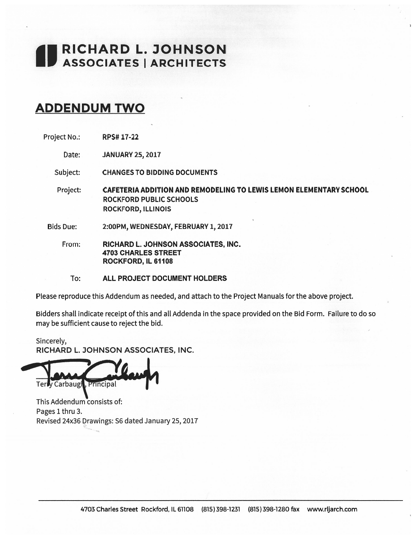# RICHARD L. JOHNSON<br>ASSOCIATES | ARCHITECTS

# **ADDENDUM TWO**

Project No.: **RPS#17-22** 

> Date: **JANUARY 25, 2017**

Subject: **CHANGES TO BIDDING DOCUMENTS** 

**CAFETERIA ADDITION AND REMODELING TO LEWIS LEMON ELEMENTARY SCHOOL** Project: **ROCKFORD PUBLIC SCHOOLS ROCKFORD, ILLINOIS** 

**Bids Due:** 2:00PM, WEDNESDAY, FEBRUARY 1, 2017

RICHARD L. JOHNSON ASSOCIATES, INC. From: **4703 CHARLES STREET** ROCKFORD, IL 61108

To: **ALL PROJECT DOCUMENT HOLDERS** 

Please reproduce this Addendum as needed, and attach to the Project Manuals for the above project.

Bidders shall indicate receipt of this and all Addenda in the space provided on the Bid Form. Failure to do so may be sufficient cause to reject the bid.

Sincerely, RICHARD L. JOHNSON ASSOCIATES, INC.

y Carbaugh, Principal Terl

This Addendum consists of: Pages 1 thru 3. Revised 24x36 Drawings: S6 dated January 25, 2017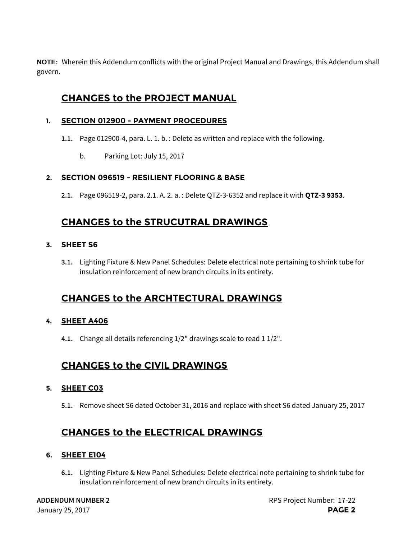**NOTE:** Wherein this Addendum conflicts with the original Project Manual and Drawings, this Addendum shall govern.

# **CHANGES to the PROJECT MANUAL**

#### **1. SECTION 012900 - PAYMENT PROCEDURES**

- **1.1.** Page 012900-4, para. L. 1. b. : Delete as written and replace with the following.
	- b. Parking Lot: July 15, 2017

#### **2. SECTION 096519 - RESILIENT FLOORING & BASE**

**2.1.** Page 096519-2, para. 2.1. A. 2. a. : Delete QTZ-3-6352 and replace it with **QTZ-3 9353**.

# **CHANGES to the STRUCUTRAL DRAWINGS**

#### **3. SHEET S6**

**3.1.** Lighting Fixture & New Panel Schedules: Delete electrical note pertaining to shrink tube for insulation reinforcement of new branch circuits in its entirety.

# **CHANGES to the ARCHTECTURAL DRAWINGS**

#### **4. SHEET A406**

**4.1.** Change all details referencing 1/2" drawings scale to read 1 1/2".

## **CHANGES to the CIVIL DRAWINGS**

#### **5. SHEET C03**

**5.1.** Remove sheet S6 dated October 31, 2016 and replace with sheet S6 dated January 25, 2017

# **CHANGES to the ELECTRICAL DRAWINGS**

#### **6. SHEET E104**

**6.1.** Lighting Fixture & New Panel Schedules: Delete electrical note pertaining to shrink tube for insulation reinforcement of new branch circuits in its entirety.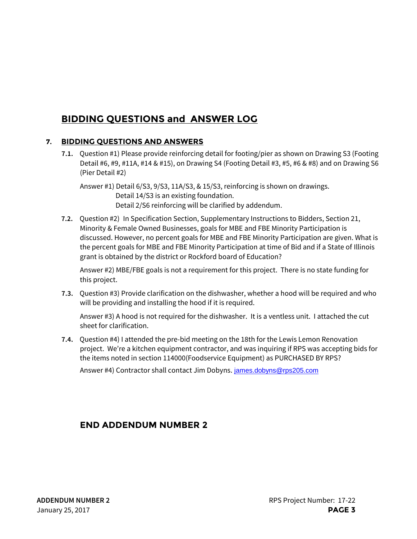# **BIDDING QUESTIONS and ANSWER LOG**

#### **7. BIDDING QUESTIONS AND ANSWERS**

**7.1.** Question #1) Please provide reinforcing detail for footing/pier as shown on Drawing S3 (Footing Detail #6, #9, #11A, #14 & #15), on Drawing S4 (Footing Detail #3, #5, #6 & #8) and on Drawing S6 (Pier Detail #2)

Answer #1) Detail 6/S3, 9/S3, 11A/S3, & 15/S3, reinforcing is shown on drawings. Detail 14/S3 is an existing foundation. Detail 2/S6 reinforcing will be clarified by addendum.

**7.2.** Question #2) In Specification Section, Supplementary Instructions to Bidders, Section 21, Minority & Female Owned Businesses, goals for MBE and FBE Minority Participation is discussed. However, no percent goals for MBE and FBE Minority Participation are given. What is the percent goals for MBE and FBE Minority Participation at time of Bid and if a State of Illinois grant is obtained by the district or Rockford board of Education?

Answer #2) MBE/FBE goals is not a requirement for this project. There is no state funding for this project.

**7.3.** Question #3) Provide clarification on the dishwasher, whether a hood will be required and who will be providing and installing the hood if it is required.

Answer #3) A hood is not required for the dishwasher. It is a ventless unit. I attached the cut sheet for clarification.

**7.4.** Question #4) I attended the pre-bid meeting on the 18th for the Lewis Lemon Renovation project. We're a kitchen equipment contractor, and was inquiring if RPS was accepting bids for the items noted in section 114000(Foodservice Equipment) as PURCHASED BY RPS?

Answer #4) Contractor shall contact Jim Dobyns. [james.dobyns@rps205.com](mailto:james.dobyns@rps205.com)

### **END ADDENDUM NUMBER 2**